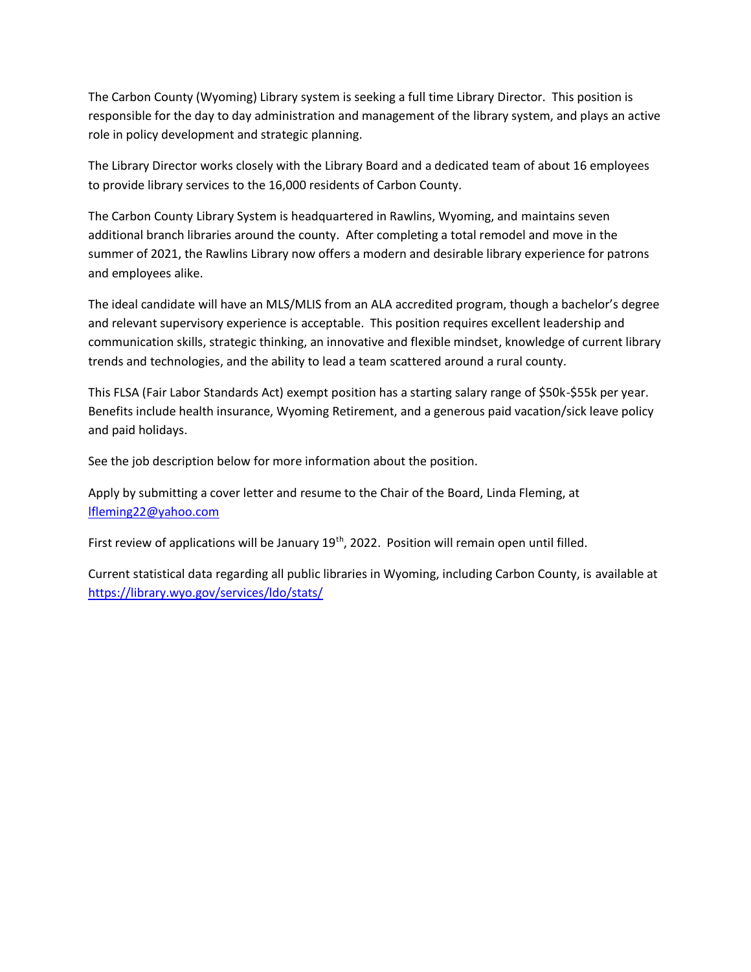The Carbon County (Wyoming) Library system is seeking a full time Library Director. This position is responsible for the day to day administration and management of the library system, and plays an active role in policy development and strategic planning.

The Library Director works closely with the Library Board and a dedicated team of about 16 employees to provide library services to the 16,000 residents of Carbon County.

The Carbon County Library System is headquartered in Rawlins, Wyoming, and maintains seven additional branch libraries around the county. After completing a total remodel and move in the summer of 2021, the Rawlins Library now offers a modern and desirable library experience for patrons and employees alike.

The ideal candidate will have an MLS/MLIS from an ALA accredited program, though a bachelor's degree and relevant supervisory experience is acceptable. This position requires excellent leadership and communication skills, strategic thinking, an innovative and flexible mindset, knowledge of current library trends and technologies, and the ability to lead a team scattered around a rural county.

This FLSA (Fair Labor Standards Act) exempt position has a starting salary range of \$50k-\$55k per year. Benefits include health insurance, Wyoming Retirement, and a generous paid vacation/sick leave policy and paid holidays.

See the job description below for more information about the position.

Apply by submitting a cover letter and resume to the Chair of the Board, Linda Fleming, at [lfleming22@yahoo.com](mailto:lfleming22@yahoo.com)

First review of applications will be January  $19<sup>th</sup>$ , 2022. Position will remain open until filled.

Current statistical data regarding all public libraries in Wyoming, including Carbon County, is available at <https://library.wyo.gov/services/ldo/stats/>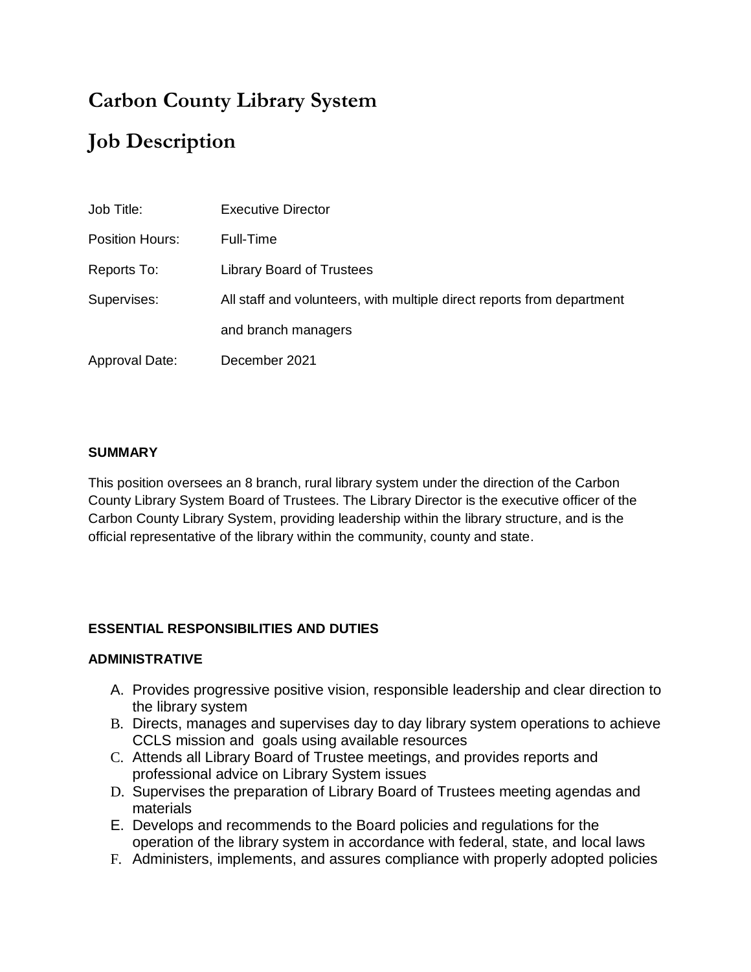# **Carbon County Library System Job Description**

| Job Title:      | <b>Executive Director</b>                                              |
|-----------------|------------------------------------------------------------------------|
| Position Hours: | Full-Time                                                              |
| Reports To:     | <b>Library Board of Trustees</b>                                       |
| Supervises:     | All staff and volunteers, with multiple direct reports from department |
|                 | and branch managers                                                    |
| Approval Date:  | December 2021                                                          |

#### **SUMMARY**

This position oversees an 8 branch, rural library system under the direction of the Carbon County Library System Board of Trustees. The Library Director is the executive officer of the Carbon County Library System, providing leadership within the library structure, and is the official representative of the library within the community, county and state.

### **ESSENTIAL RESPONSIBILITIES AND DUTIES**

#### **ADMINISTRATIVE**

- A. Provides progressive positive vision, responsible leadership and clear direction to the library system
- B. Directs, manages and supervises day to day library system operations to achieve CCLS mission and goals using available resources
- C. Attends all Library Board of Trustee meetings, and provides reports and professional advice on Library System issues
- D. Supervises the preparation of Library Board of Trustees meeting agendas and materials
- E. Develops and recommends to the Board policies and regulations for the operation of the library system in accordance with federal, state, and local laws
- F. Administers, implements, and assures compliance with properly adopted policies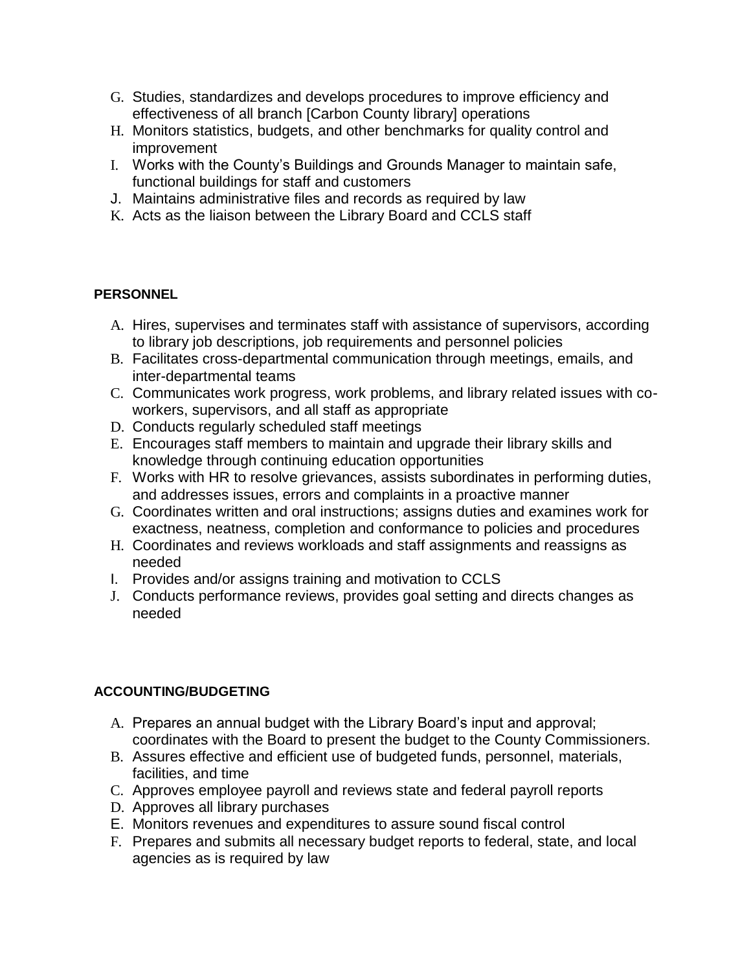- G. Studies, standardizes and develops procedures to improve efficiency and effectiveness of all branch [Carbon County library] operations
- H. Monitors statistics, budgets, and other benchmarks for quality control and improvement
- I. Works with the County's Buildings and Grounds Manager to maintain safe, functional buildings for staff and customers
- J. Maintains administrative files and records as required by law
- K. Acts as the liaison between the Library Board and CCLS staff

## **PERSONNEL**

- A. Hires, supervises and terminates staff with assistance of supervisors, according to library job descriptions, job requirements and personnel policies
- B. Facilitates cross-departmental communication through meetings, emails, and inter-departmental teams
- C. Communicates work progress, work problems, and library related issues with coworkers, supervisors, and all staff as appropriate
- D. Conducts regularly scheduled staff meetings
- E. Encourages staff members to maintain and upgrade their library skills and knowledge through continuing education opportunities
- F. Works with HR to resolve grievances, assists subordinates in performing duties, and addresses issues, errors and complaints in a proactive manner
- G. Coordinates written and oral instructions; assigns duties and examines work for exactness, neatness, completion and conformance to policies and procedures
- H. Coordinates and reviews workloads and staff assignments and reassigns as needed
- I. Provides and/or assigns training and motivation to CCLS
- J. Conducts performance reviews, provides goal setting and directs changes as needed

## **ACCOUNTING/BUDGETING**

- A. Prepares an annual budget with the Library Board's input and approval; coordinates with the Board to present the budget to the County Commissioners.
- B. Assures effective and efficient use of budgeted funds, personnel, materials, facilities, and time
- C. Approves employee payroll and reviews state and federal payroll reports
- D. Approves all library purchases
- E. Monitors revenues and expenditures to assure sound fiscal control
- F. Prepares and submits all necessary budget reports to federal, state, and local agencies as is required by law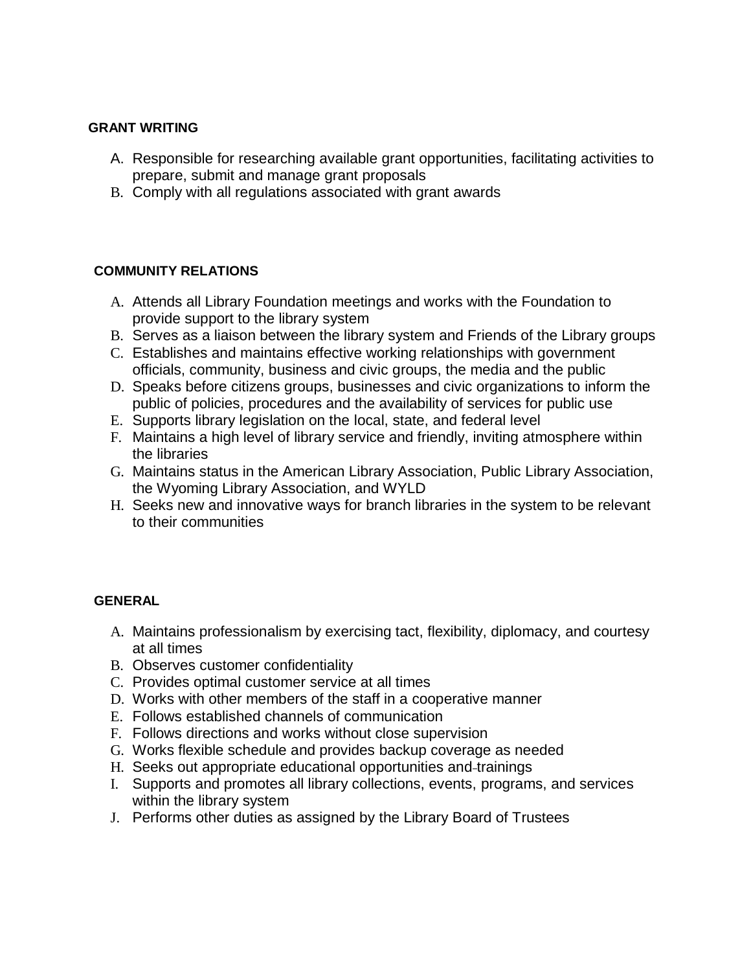#### **GRANT WRITING**

- A. Responsible for researching available grant opportunities, facilitating activities to prepare, submit and manage grant proposals
- B. Comply with all regulations associated with grant awards

### **COMMUNITY RELATIONS**

- A. Attends all Library Foundation meetings and works with the Foundation to provide support to the library system
- B. Serves as a liaison between the library system and Friends of the Library groups
- C. Establishes and maintains effective working relationships with government officials, community, business and civic groups, the media and the public
- D. Speaks before citizens groups, businesses and civic organizations to inform the public of policies, procedures and the availability of services for public use
- E. Supports library legislation on the local, state, and federal level
- F. Maintains a high level of library service and friendly, inviting atmosphere within the libraries
- G. Maintains status in the American Library Association, Public Library Association, the Wyoming Library Association, and WYLD
- H. Seeks new and innovative ways for branch libraries in the system to be relevant to their communities

### **GENERAL**

- A. Maintains professionalism by exercising tact, flexibility, diplomacy, and courtesy at all times
- B. Observes customer confidentiality
- C. Provides optimal customer service at all times
- D. Works with other members of the staff in a cooperative manner
- E. Follows established channels of communication
- F. Follows directions and works without close supervision
- G. Works flexible schedule and provides backup coverage as needed
- H. Seeks out appropriate educational opportunities and-trainings
- I. Supports and promotes all library collections, events, programs, and services within the library system
- J. Performs other duties as assigned by the Library Board of Trustees